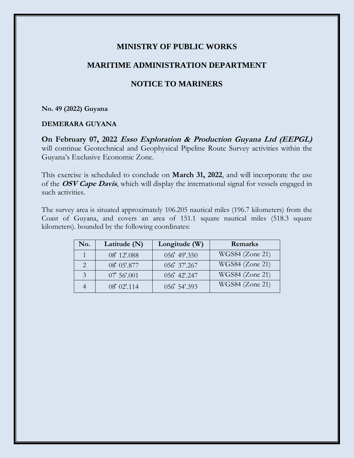## **MINISTRY OF PUBLIC WORKS**

## **MARITIME ADMINISTRATION DEPARTMENT**

# **NOTICE TO MARINERS**

#### **No. 49 (2022) Guyana**

### **DEMERARA GUYANA**

**On February 07, 2022 Esso Exploration & Production Guyana Ltd (EEPGL)** will continue Geotechnical and Geophysical Pipeline Route Survey activities within the Guyana's Exclusive Economic Zone.

This exercise is scheduled to conclude on **March 31, 2022**, and will incorporate the use of the **OSV Cape Davis**, which will display the international signal for vessels engaged in such activities.

The survey area is situated approximately 106.205 nautical miles (196.7 kilometers) from the Coast of Guyana, and covers an area of 151.1 square nautical miles (518.3 square kilometers). bounded by the following coordinates:

| No. | Latitude $(N)$       | Longitude (W) | Remarks         |
|-----|----------------------|---------------|-----------------|
|     | 08° 12'.088          | 056 49'.350   | WGS84 (Zone 21) |
|     | 08° 05'.877          | 056 37'.267   | WGS84 (Zone 21) |
| 3   | $07^{\circ} 56'.001$ | 056° 42'.247  | WGS84 (Zone 21) |
|     | 08° 02' 114          | 056 54'.393   | WGS84 (Zone 21) |